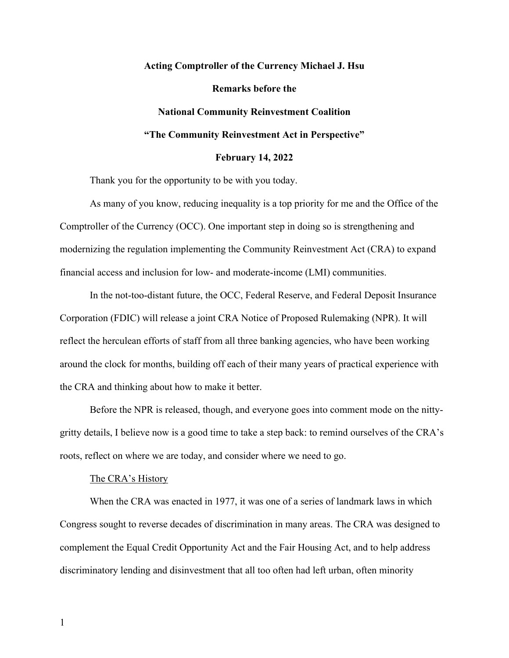# **Acting Comptroller of the Currency Michael J. Hsu Remarks before the National Community Reinvestment Coalition "The Community Reinvestment Act in Perspective"**

## **February 14, 2022**

Thank you for the opportunity to be with you today.

As many of you know, reducing inequality is a top priority for me and the Office of the Comptroller of the Currency (OCC). One important step in doing so is strengthening and modernizing the regulation implementing the Community Reinvestment Act (CRA) to expand financial access and inclusion for low- and moderate-income (LMI) communities.

In the not-too-distant future, the OCC, Federal Reserve, and Federal Deposit Insurance Corporation (FDIC) will release a joint CRA Notice of Proposed Rulemaking (NPR). It will reflect the herculean efforts of staff from all three banking agencies, who have been working around the clock for months, building off each of their many years of practical experience with the CRA and thinking about how to make it better.

Before the NPR is released, though, and everyone goes into comment mode on the nittygritty details, I believe now is a good time to take a step back: to remind ourselves of the CRA's roots, reflect on where we are today, and consider where we need to go.

#### The CRA's History

When the CRA was enacted in 1977, it was one of a series of landmark laws in which Congress sought to reverse decades of discrimination in many areas. The CRA was designed to complement the Equal Credit Opportunity Act and the Fair Housing Act, and to help address discriminatory lending and disinvestment that all too often had left urban, often minority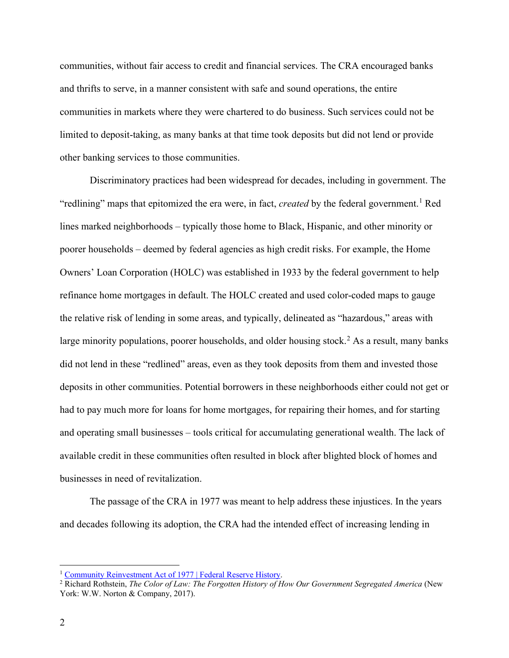communities, without fair access to credit and financial services. The CRA encouraged banks and thrifts to serve, in a manner consistent with safe and sound operations, the entire communities in markets where they were chartered to do business. Such services could not be limited to deposit-taking, as many banks at that time took deposits but did not lend or provide other banking services to those communities.

Discriminatory practices had been widespread for decades, including in government. The "redlining" maps that epitomized the era were, in fact, *created* by the federal government. [1](#page-1-0) Red lines marked neighborhoods – typically those home to Black, Hispanic, and other minority or poorer households – deemed by federal agencies as high credit risks. For example, the Home Owners' Loan Corporation (HOLC) was established in 1933 by the federal government to help refinance home mortgages in default. The HOLC created and used color-coded maps to gauge the relative risk of lending in some areas, and typically, delineated as "hazardous," areas with large minority populations, poorer households, and older housing stock.<sup>[2](#page-1-1)</sup> As a result, many banks did not lend in these "redlined" areas, even as they took deposits from them and invested those deposits in other communities. Potential borrowers in these neighborhoods either could not get or had to pay much more for loans for home mortgages, for repairing their homes, and for starting and operating small businesses – tools critical for accumulating generational wealth. The lack of available credit in these communities often resulted in block after blighted block of homes and businesses in need of revitalization.

The passage of the CRA in 1977 was meant to help address these injustices. In the years and decades following its adoption, the CRA had the intended effect of increasing lending in

<span id="page-1-1"></span><span id="page-1-0"></span><sup>&</sup>lt;sup>1</sup> Community Reinvestment Act of 1977 | Federal Reserve History.<br><sup>2</sup> Richard Rothstein, *The Color of Law: The Forgotten History of How Our Government Segregated America* (New York: W.W. Norton & Company, 2017).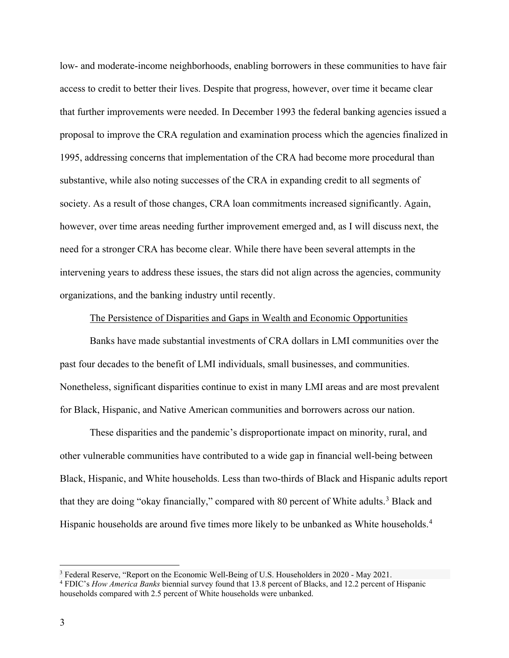low- and moderate-income neighborhoods, enabling borrowers in these communities to have fair access to credit to better their lives. Despite that progress, however, over time it became clear that further improvements were needed. In December 1993 the federal banking agencies issued a proposal to improve the CRA regulation and examination process which the agencies finalized in 1995, addressing concerns that implementation of the CRA had become more procedural than substantive, while also noting successes of the CRA in expanding credit to all segments of society. As a result of those changes, CRA loan commitments increased significantly. Again, however, over time areas needing further improvement emerged and, as I will discuss next, the need for a stronger CRA has become clear. While there have been several attempts in the intervening years to address these issues, the stars did not align across the agencies, community organizations, and the banking industry until recently.

### The Persistence of Disparities and Gaps in Wealth and Economic Opportunities

Banks have made substantial investments of CRA dollars in LMI communities over the past four decades to the benefit of LMI individuals, small businesses, and communities. Nonetheless, significant disparities continue to exist in many LMI areas and are most prevalent for Black, Hispanic, and Native American communities and borrowers across our nation.

These disparities and the pandemic's disproportionate impact on minority, rural, and other vulnerable communities have contributed to a wide gap in financial well-being between Black, Hispanic, and White households. Less than two-thirds of Black and Hispanic adults report that they are doing "okay financially," compared with 80 percent of White adults.<sup>[3](#page-2-0)</sup> Black and Hispanic households are around five times more likely to be unbanked as White households.<sup>[4](#page-2-1)</sup>

<span id="page-2-0"></span><sup>3</sup> Federal Reserve, "Report on the Economic Well-Being of U.S. Householders in 2020 - May 2021.

<span id="page-2-1"></span><sup>4</sup> FDIC's *How America Banks* biennial survey found that 13.8 percent of Blacks, and 12.2 percent of Hispanic households compared with 2.5 percent of White households were unbanked.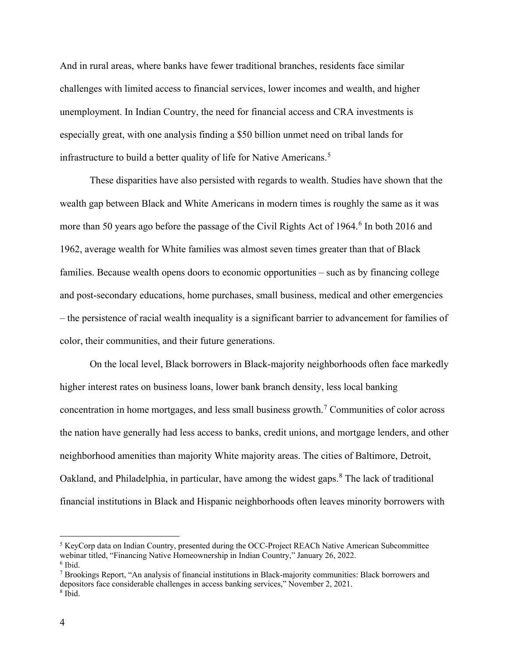And in rural areas, where banks have fewer traditional branches, residents face similar challenges with limited access to financial services, lower incomes and wealth, and higher unemployment. In Indian Country, the need for financial access and CRA investments is especially great, with one analysis finding a \$50 billion unmet need on tribal lands for infrastructure to build a better quality of life for Native Americans.<sup>[5](#page-3-0)</sup>

These disparities have also persisted with regards to wealth. Studies have shown that the wealth gap between Black and White Americans in modern times is roughly the same as it was more than 50 years ago before the passage of the Civil Rights Act of 1964. [6](#page-3-1) In both 2016 and 1962, average wealth for White families was almost seven times greater than that of Black families. Because wealth opens doors to economic opportunities – such as by financing college and post-secondary educations, home purchases, small business, medical and other emergencies – the persistence of racial wealth inequality is a significant barrier to advancement for families of color, their communities, and their future generations.

On the local level, Black borrowers in Black-majority neighborhoods often face markedly higher interest rates on business loans, lower bank branch density, less local banking concentration in home mortgages, and less small business growth.[7](#page-3-2) Communities of color across the nation have generally had less access to banks, credit unions, and mortgage lenders, and other neighborhood amenities than majority White majority areas. The cities of Baltimore, Detroit, Oakland, and Philadelphia, in particular, have among the widest gaps.<sup>[8](#page-3-3)</sup> The lack of traditional financial institutions in Black and Hispanic neighborhoods often leaves minority borrowers with

<span id="page-3-0"></span><sup>5</sup> KeyCorp data on Indian Country, presented during the OCC-Project REACh Native American Subcommittee webinar titled, "Financing Native Homeownership in Indian Country," January 26, 2022.  $6$  Ibid.

<span id="page-3-3"></span><span id="page-3-2"></span><span id="page-3-1"></span><sup>7</sup> Brookings Report, "An analysis of financial institutions in Black-majority communities: Black borrowers and depositors face considerable challenges in access banking services," November 2, 2021. <sup>8</sup> Ibid.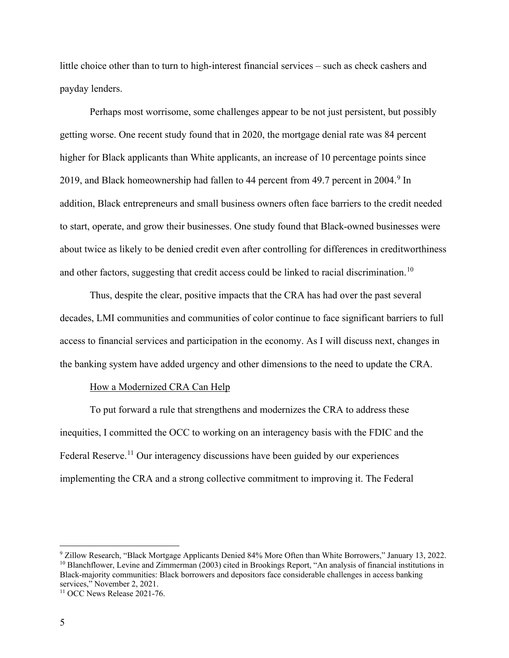little choice other than to turn to high-interest financial services – such as check cashers and payday lenders.

Perhaps most worrisome, some challenges appear to be not just persistent, but possibly getting worse. One recent study found that in 2020, the mortgage denial rate was 84 percent higher for Black applicants than White applicants, an increase of 10 percentage points since 201[9](#page-4-0), and Black homeownership had fallen to 44 percent from 49.7 percent in 2004.<sup>9</sup> In addition, Black entrepreneurs and small business owners often face barriers to the credit needed to start, operate, and grow their businesses. One study found that Black-owned businesses were about twice as likely to be denied credit even after controlling for differences in creditworthiness and other factors, suggesting that credit access could be linked to racial discrimination.<sup>[10](#page-4-1)</sup>

Thus, despite the clear, positive impacts that the CRA has had over the past several decades, LMI communities and communities of color continue to face significant barriers to full access to financial services and participation in the economy. As I will discuss next, changes in the banking system have added urgency and other dimensions to the need to update the CRA.

## How a Modernized CRA Can Help

To put forward a rule that strengthens and modernizes the CRA to address these inequities, I committed the OCC to working on an interagency basis with the FDIC and the Federal Reserve.<sup>[11](#page-4-2)</sup> Our interagency discussions have been guided by our experiences implementing the CRA and a strong collective commitment to improving it. The Federal

<span id="page-4-1"></span><span id="page-4-0"></span><sup>9</sup> Zillow Research, "Black Mortgage Applicants Denied 84% More Often than White Borrowers," January 13, 2022. <sup>10</sup> Blanchflower, Levine and Zimmerman (2003) cited in Brookings Report, "An analysis of financial institutions in Black-majority communities: Black borrowers and depositors face considerable challenges in access banking services," November 2, 2021.

<span id="page-4-2"></span><sup>&</sup>lt;sup>11</sup> OCC News Release 2021-76.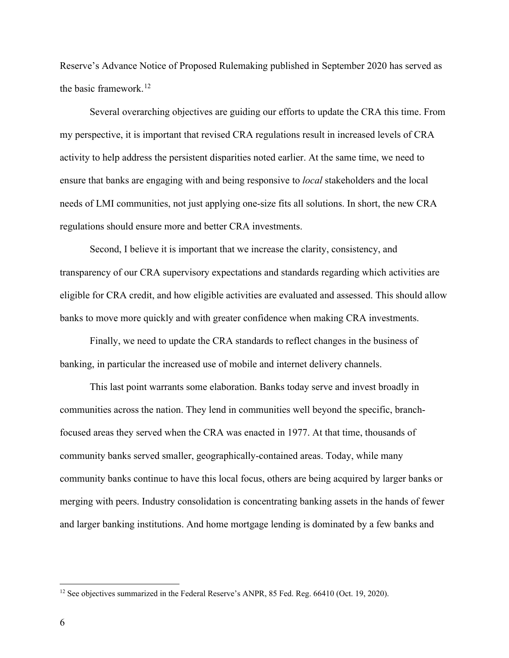Reserve's Advance Notice of Proposed Rulemaking published in September 2020 has served as the basic framework. [12](#page-5-0)

Several overarching objectives are guiding our efforts to update the CRA this time. From my perspective, it is important that revised CRA regulations result in increased levels of CRA activity to help address the persistent disparities noted earlier. At the same time, we need to ensure that banks are engaging with and being responsive to *local* stakeholders and the local needs of LMI communities, not just applying one-size fits all solutions. In short, the new CRA regulations should ensure more and better CRA investments.

Second, I believe it is important that we increase the clarity, consistency, and transparency of our CRA supervisory expectations and standards regarding which activities are eligible for CRA credit, and how eligible activities are evaluated and assessed. This should allow banks to move more quickly and with greater confidence when making CRA investments.

Finally, we need to update the CRA standards to reflect changes in the business of banking, in particular the increased use of mobile and internet delivery channels.

This last point warrants some elaboration. Banks today serve and invest broadly in communities across the nation. They lend in communities well beyond the specific, branchfocused areas they served when the CRA was enacted in 1977. At that time, thousands of community banks served smaller, geographically-contained areas. Today, while many community banks continue to have this local focus, others are being acquired by larger banks or merging with peers. Industry consolidation is concentrating banking assets in the hands of fewer and larger banking institutions. And home mortgage lending is dominated by a few banks and

<span id="page-5-0"></span><sup>&</sup>lt;sup>12</sup> See objectives summarized in the Federal Reserve's ANPR, 85 Fed. Reg. 66410 (Oct. 19, 2020).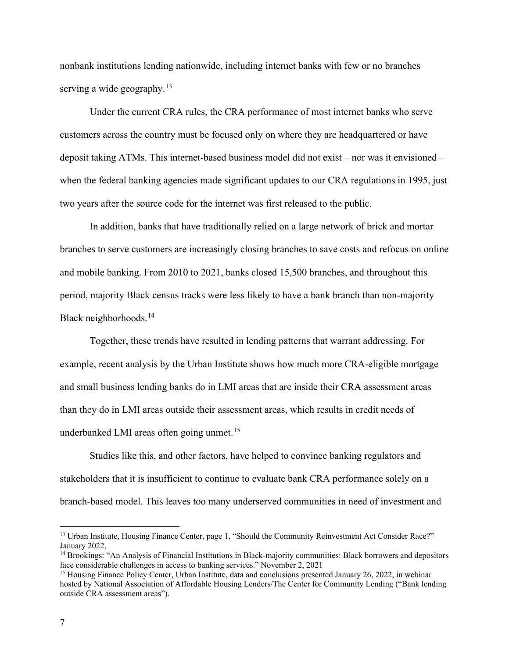nonbank institutions lending nationwide, including internet banks with few or no branches serving a wide geography.<sup>[13](#page-6-0)</sup>

Under the current CRA rules, the CRA performance of most internet banks who serve customers across the country must be focused only on where they are headquartered or have deposit taking ATMs. This internet-based business model did not exist – nor was it envisioned – when the federal banking agencies made significant updates to our CRA regulations in 1995, just two years after the source code for the internet was first released to the public.

In addition, banks that have traditionally relied on a large network of brick and mortar branches to serve customers are increasingly closing branches to save costs and refocus on online and mobile banking. From 2010 to 2021, banks closed 15,500 branches, and throughout this period, majority Black census tracks were less likely to have a bank branch than non-majority Black neighborhoods.<sup>[14](#page-6-1)</sup>

Together, these trends have resulted in lending patterns that warrant addressing. For example, recent analysis by the Urban Institute shows how much more CRA-eligible mortgage and small business lending banks do in LMI areas that are inside their CRA assessment areas than they do in LMI areas outside their assessment areas, which results in credit needs of underbanked LMI areas often going unmet.<sup>[15](#page-6-2)</sup>

Studies like this, and other factors, have helped to convince banking regulators and stakeholders that it is insufficient to continue to evaluate bank CRA performance solely on a branch-based model. This leaves too many underserved communities in need of investment and

<span id="page-6-0"></span><sup>&</sup>lt;sup>13</sup> Urban Institute, Housing Finance Center, page 1, "Should the Community Reinvestment Act Consider Race?" January 2022.

<span id="page-6-1"></span><sup>14</sup> Brookings: "An Analysis of Financial Institutions in Black-majority communities: Black borrowers and depositors face considerable challenges in access to banking services." November 2, 2021

<span id="page-6-2"></span><sup>&</sup>lt;sup>15</sup> Housing Finance Policy Center, Urban Institute, data and conclusions presented January 26, 2022, in webinar hosted by National Association of Affordable Housing Lenders/The Center for Community Lending ("Bank lending outside CRA assessment areas").